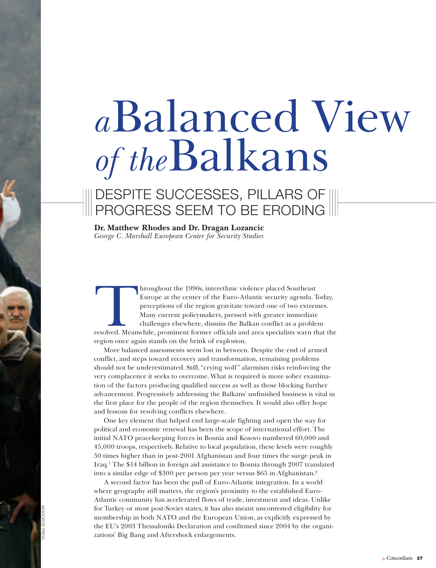# *a*Balanced view *of the*Balkans

## dEsPitE sUCCEssEs, PillaRs Of PROGREss sEEM tO BE EROdinG

**Dr. Matthew Rhodes and Dr. Dragan Lozancic** *George C. Marshall European Center for Security Studies* 

Arrow beyonds, interethnic violence placed Southeast<br>
Europe at the center of the Euro-Atlantic security agenda. Today,<br>
perceptions of the region gravitate toward one of two extremes.<br>
Many current policymakers, pressed w Europe at the center of the Euro-Atlantic security agenda. Today, perceptions of the region gravitate toward one of two extremes. Many current policymakers, pressed with greater immediate challenges elsewhere, dismiss the Balkan conflict as a problem region once again stands on the brink of explosion.

More balanced assessments seem lost in between. Despite the end of armed conflict, and steps toward recovery and transformation, remaining problems should not be underestimated. still, "crying wolf" alarmism risks reinforcing the very complacence it seeks to overcome. What is required is more sober examination of the factors producing qualified success as well as those blocking further advancement. Progressively addressing the Balkans' unfinished business is vital in the first place for the people of the region themselves. it would also offer hope and lessons for resolving conflicts elsewhere.

One key element that helped end large-scale fighting and open the way for political and economic renewal has been the scope of international effort. The initial NATO peacekeeping forces in Bosnia and Kosovo numbered 60,000 and 45,000 troops, respectively. Relative to local population, these levels were roughly 50 times higher than in post-2001 Afghanistan and four times the surge peak in Iraq.<sup>1</sup> The \$14 billion in foreign aid assistance to Bosnia through 2007 translated into a similar edge of \$300 per person per year versus \$65 in Afghanistan.2

A second factor has been the pull of Euro-Atlantic integration. In a world where geography still matters, the region's proximity to the established Euro-Atlantic community has accelerated flows of trade, investment and ideas. Unlike for Turkey or most post-Soviet states, it has also meant uncontested eligibility for membership in both NATO and the European Union, as explicitly expressed by the EU's 2003 Thessaloniki Declaration and confirmed since 2004 by the organizations' Big Bang and Aftershock enlargements.

assOCiatEd PREss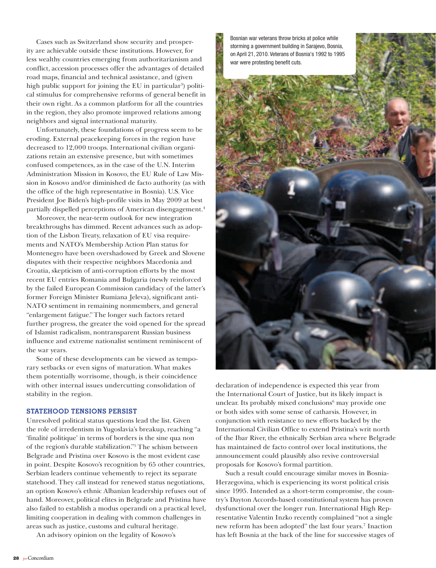Cases such as Switzerland show security and prosperity are achievable outside these institutions. However, for less wealthy countries emerging from authoritarianism and conflict, accession processes offer the advantages of detailed road maps, financial and technical assistance, and (given high public support for joining the EU in particular<sup>3</sup>) political stimulus for comprehensive reforms of general benefit in their own right. As a common platform for all the countries in the region, they also promote improved relations among neighbors and signal international maturity.

Unfortunately, these foundations of progress seem to be eroding. External peacekeeping forces in the region have decreased to 12,000 troops. International civilian organizations retain an extensive presence, but with sometimes confused competences, as in the case of the U.N. Interim Administration Mission in Kosovo, the EU Rule of Law Mission in Kosovo and/or diminished de facto authority (as with the office of the high representative in Bosnia). U.S. Vice President Joe Biden's high-profile visits in May 2009 at best partially dispelled perceptions of American disengagement.<sup>4</sup>

Moreover, the near-term outlook for new integration breakthroughs has dimmed. Recent advances such as adoption of the Lisbon Treaty, relaxation of EU visa requirements and NATO's Membership Action Plan status for Montenegro have been overshadowed by Greek and Slovene disputes with their respective neighbors Macedonia and Croatia, skepticism of anti-corruption efforts by the most recent EU entries Romania and Bulgaria (newly reinforced by the failed European Commission candidacy of the latter's former Foreign Minister Rumiana Jeleva), significant anti-NATO sentiment in remaining nonmembers, and general "enlargement fatigue." The longer such factors retard further progress, the greater the void opened for the spread of Islamist radicalism, nontransparent Russian business influence and extreme nationalist sentiment reminiscent of the war years.

Some of these developments can be viewed as temporary setbacks or even signs of maturation. What makes them potentially worrisome, though, is their coincidence with other internal issues undercutting consolidation of stability in the region.

#### **Statehood Tensions Persist**

Unresolved political status questions lead the list. Given the role of irredentism in Yugoslavia's breakup, reaching "a 'finalité politique' in terms of borders is the sine qua non of the region's durable stabilization."5 The schism between Belgrade and Pristina over Kosovo is the most evident case in point. Despite Kosovo's recognition by 65 other countries, Serbian leaders continue vehemently to reject its separate statehood. They call instead for renewed status negotiations, an option Kosovo's ethnic Albanian leadership refuses out of hand. Moreover, political elites in Belgrade and Pristina have also failed to establish a modus operandi on a practical level, limiting cooperation in dealing with common challenges in areas such as justice, customs and cultural heritage.

An advisory opinion on the legality of Kosovo's

Bosnian war veterans throw bricks at police while storming a government building in Sarajevo, Bosnia, on April 21, 2010. Veterans of Bosnia's 1992 to 1995 war were protesting benefit cuts.



declaration of independence is expected this year from the International Court of Justice, but its likely impact is unclear. Its probably mixed conclusions<sup>6</sup> may provide one or both sides with some sense of catharsis. However, in conjunction with resistance to new efforts backed by the International Civilian Office to extend Pristina's writ north of the Ibar River, the ethnically Serbian area where Belgrade has maintained de facto control over local institutions, the announcement could plausibly also revive controversial proposals for Kosovo's formal partition.

Such a result could encourage similar moves in Bosnia-Herzegovina, which is experiencing its worst political crisis since 1995. Intended as a short-term compromise, the country's Dayton Accords-based constitutional system has proven dysfunctional over the longer run. International High Representative Valentin Inzko recently complained "not a single new reform has been adopted" the last four years.7 Inaction has left Bosnia at the back of the line for successive stages of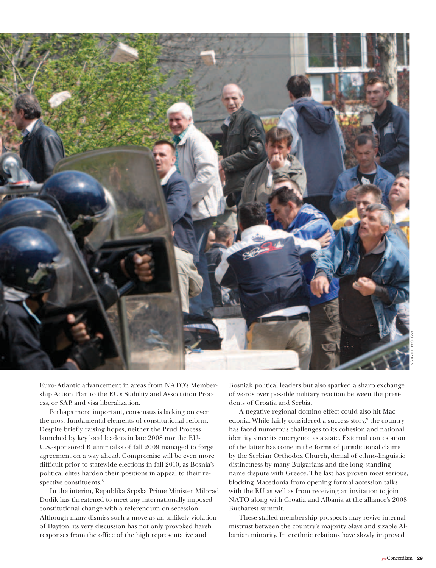

Euro-Atlantic advancement in areas from NATO's Membership Action Plan to the EU's Stability and Association Process, or SAP, and visa liberalization.

Perhaps more important, consensus is lacking on even the most fundamental elements of constitutional reform. Despite briefly raising hopes, neither the Prud Process launched by key local leaders in late 2008 nor the EU-U.S.-sponsored Butmir talks of fall 2009 managed to forge agreement on a way ahead. Compromise will be even more difficult prior to statewide elections in fall 2010, as Bosnia's political elites harden their positions in appeal to their respective constituents.<sup>8</sup>

In the interim, Republika Srpska Prime Minister Milorad Dodik has threatened to meet any internationally imposed constitutional change with a referendum on secession. Although many dismiss such a move as an unlikely violation of Dayton, its very discussion has not only provoked harsh responses from the office of the high representative and

Bosniak political leaders but also sparked a sharp exchange of words over possible military reaction between the presidents of Croatia and Serbia.

A negative regional domino effect could also hit Macedonia. While fairly considered a success story,<sup>9</sup> the country has faced numerous challenges to its cohesion and national identity since its emergence as a state. External contestation of the latter has come in the forms of jurisdictional claims by the Serbian Orthodox Church, denial of ethno-linguistic distinctness by many Bulgarians and the long-standing name dispute with Greece. The last has proven most serious, blocking Macedonia from opening formal accession talks with the EU as well as from receiving an invitation to join NATO along with Croatia and Albania at the alliance's 2008 Bucharest summit.

These stalled membership prospects may revive internal mistrust between the country's majority Slavs and sizable Albanian minority. Interethnic relations have slowly improved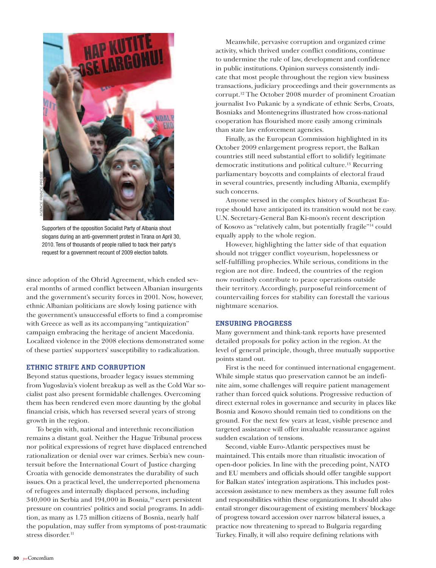

Supporters of the opposition Socialist Party of Albania shout slogans during an anti-government protest in Tirana on April 30, 2010. Tens of thousands of people rallied to back their party's request for a government recount of 2009 election ballots.

since adoption of the Ohrid Agreement, which ended several months of armed conflict between Albanian insurgents and the government's security forces in 2001. Now, however, ethnic Albanian politicians are slowly losing patience with the government's unsuccessful efforts to find a compromise with Greece as well as its accompanying "antiquization" campaign embracing the heritage of ancient Macedonia. Localized violence in the 2008 elections demonstrated some of these parties' supporters' susceptibility to radicalization.

#### **Ethnic Strife and Corruption**

Beyond status questions, broader legacy issues stemming from Yugoslavia's violent breakup as well as the Cold War socialist past also present formidable challenges. Overcoming them has been rendered even more daunting by the global financial crisis, which has reversed several years of strong growth in the region.

To begin with, national and interethnic reconciliation remains a distant goal. Neither the Hague Tribunal process nor political expressions of regret have displaced entrenched rationalization or denial over war crimes. Serbia's new countersuit before the International Court of Justice charging Croatia with genocide demonstrates the durability of such issues. On a practical level, the underreported phenomena of refugees and internally displaced persons, including 340,000 in Serbia and 194,000 in Bosnia,10 exert persistent pressure on countries' politics and social programs. In addition, as many as 1.75 million citizens of Bosnia, nearly half the population, may suffer from symptoms of post-traumatic stress disorder.<sup>11</sup>

Meanwhile, pervasive corruption and organized crime activity, which thrived under conflict conditions, continue to undermine the rule of law, development and confidence in public institutions. Opinion surveys consistently indicate that most people throughout the region view business transactions, judiciary proceedings and their governments as corrupt.12 The October 2008 murder of prominent Croatian journalist Ivo Pukanic by a syndicate of ethnic Serbs, Croats, Bosniaks and Montenegrins illustrated how cross-national cooperation has flourished more easily among criminals than state law enforcement agencies.

Finally, as the European Commission highlighted in its October 2009 enlargement progress report, the Balkan countries still need substantial effort to solidify legitimate democratic institutions and political culture.13 Recurring parliamentary boycotts and complaints of electoral fraud in several countries, presently including Albania, exemplify such concerns.

Anyone versed in the complex history of Southeast Europe should have anticipated its transition would not be easy. U.N. Secretary-General Ban Ki-moon's recent description of Kosovo as "relatively calm, but potentially fragile"14 could equally apply to the whole region.

However, highlighting the latter side of that equation should not trigger conflict voyeurism, hopelessness or self-fulfilling prophecies. While serious, conditions in the region are not dire. Indeed, the countries of the region now routinely contribute to peace operations outside their territory. Accordingly, purposeful reinforcement of countervailing forces for stability can forestall the various nightmare scenarios.

### **Ensuring Progress**

Many government and think-tank reports have presented detailed proposals for policy action in the region. At the level of general principle, though, three mutually supportive points stand out.

First is the need for continued international engagement. While simple status quo preservation cannot be an indefinite aim, some challenges will require patient management rather than forced quick solutions. Progressive reduction of direct external roles in governance and security in places like Bosnia and Kosovo should remain tied to conditions on the ground. For the next few years at least, visible presence and targeted assistance will offer invaluable reassurance against sudden escalation of tensions.

Second, viable Euro-Atlantic perspectives must be maintained. This entails more than ritualistic invocation of open-door policies. In line with the preceding point, NATO and EU members and officials should offer tangible support for Balkan states' integration aspirations. This includes postaccession assistance to new members as they assume full roles and responsibilities within these organizations. It should also entail stronger discouragement of existing members' blockage of progress toward accession over narrow bilateral issues, a practice now threatening to spread to Bulgaria regarding Turkey. Finally, it will also require defining relations with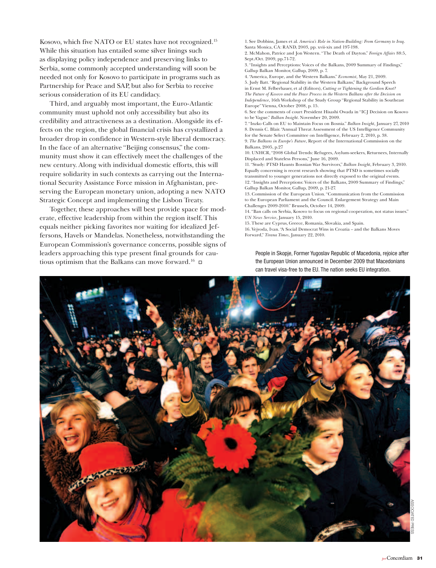Kosovo, which five NATO or EU states have not recognized.15 While this situation has entailed some silver linings such as displaying policy independence and preserving links to Serbia, some commonly accepted understanding will soon be needed not only for Kosovo to participate in programs such as Partnership for Peace and SAP, but also for Serbia to receive serious consideration of its EU candidacy.

Third, and arguably most important, the Euro-Atlantic community must uphold not only accessibility but also its credibility and attractiveness as a destination. Alongside its effects on the region, the global financial crisis has crystallized a broader drop in confidence in Western-style liberal democracy. In the face of an alternative "Beijing consensus," the community must show it can effectively meet the challenges of the new century. Along with individual domestic efforts, this will require solidarity in such contexts as carrying out the International Security Assistance Force mission in Afghanistan, preserving the European monetary union, adopting a new NATO Strategic Concept and implementing the Lisbon Treaty.

Together, these approaches will best provide space for moderate, effective leadership from within the region itself. This equals neither picking favorites nor waiting for idealized Jeffersons, Havels or Mandelas. Nonetheless, notwithstanding the European Commission's governance concerns, possible signs of leaders approaching this type present final grounds for cautious optimism that the Balkans can move forward.<sup>16</sup>  $\Box$ 

1. See Dobbins, James et al. *America's Role in Nation-Building: From Germany to Iraq*. Santa Monica, CA: RAND, 2003, pp. xvii-xix and 197-198. 2. McMahon, Patrice and Jon Western. "The Death of Dayton." *Foreign Affairs* 88:5,

Sept./Oct. 2009, pp.71-72.

3. "Insights and Perceptions: Voices of the Balkans, 2009 Summary of Findings," Gallup Balkan Monitor, Gallup, 2009, p. 7.

4. "America, Europe, and the Western Balkans." *Economist*, May 21, 2009. 5. Judy Batt. "Regional Stability in the Western Balkans," Background Speech in Ernst M. Felberbauer, et al (Editors), *Cutting or Tightening the Gordion Knot? The Future of Kosovo and the Peace Process in the Western Balkans after the Decision on Independence*, 16th Workshop of the Study Group "Regional Stability in Southeast

Europe" Vienna, October 2008, p. 15. 6. See the comments of court President Hisashi Owada in "ICJ Decision on Kosovo to be Vague." *Balkan Insight*. November 20, 2009.

7. "Inzko Calls on EU to Maintain Focus on Bosnia." *Balkan Insight*, January 27, 2010 8. Dennis C. Blair. "Annual Threat Assessment of the US Intelligence Community for the Senate Select Committee on Intelligence, February 2, 2010, p. 38.

9. *The Balkans in Europe's Future*, Report of the International Commission on the Balkans, 2005, p.27

10. UNHCR, "2008 Global Trends: Refugees, Asylum-seekers, Returnees, Internally Displaced and Stateless Persons," June 16, 2009.

11. "Study: PTSD Haunts Bosnian War Survivors," *Balkan Insight*, February 3, 2010. Equally concerning is recent research showing that PTSD is sometimes socially transmitted to younger generations not directly exposed to the original events. 12. "Insights and Perceptions: Voices of the Balkans, 2009 Summary of Findings," Gallup Balkan Monitor, Gallup, 2009, p. 21-27.

13. Commission of the European Union. "Communication from the Commission to the European Parliament and the Council. Enlargement Strategy and Main Challenges 2009-2010." Brussels, October 14, 2009.

14. "Ban calls on Serbia, Kosovo to focus on regional cooperation, not status issues." *UN News Service*, January 15, 2010.

15. These are Cyprus, Greece, Romania, Slovakia, and Spain. 16. Vejvoda, Ivan. "A Social Democrat Wins in Croatia – and the Balkans Moves Forward," *Tirana Times*, January 22, 2010.

People in Skopje, Former Yugoslav Republic of Macedonia, rejoice after the European Union announced in December 2009 that Macedonians can travel visa-free to the EU. The nation seeks EU integration.